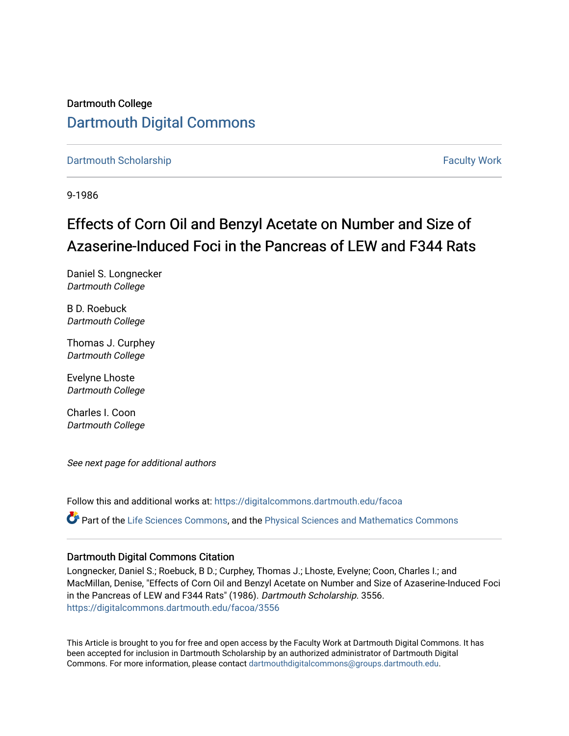Dartmouth College [Dartmouth Digital Commons](https://digitalcommons.dartmouth.edu/) 

[Dartmouth Scholarship](https://digitalcommons.dartmouth.edu/facoa) [Faculty Work](https://digitalcommons.dartmouth.edu/faculty) and The Basic Scholarship Faculty Work Faculty Work

9-1986

# Effects of Corn Oil and Benzyl Acetate on Number and Size of Azaserine-Induced Foci in the Pancreas of LEW and F344 Rats

Daniel S. Longnecker Dartmouth College

B D. Roebuck Dartmouth College

Thomas J. Curphey Dartmouth College

Evelyne Lhoste Dartmouth College

Charles I. Coon Dartmouth College

See next page for additional authors

Follow this and additional works at: [https://digitalcommons.dartmouth.edu/facoa](https://digitalcommons.dartmouth.edu/facoa?utm_source=digitalcommons.dartmouth.edu%2Ffacoa%2F3556&utm_medium=PDF&utm_campaign=PDFCoverPages)

Part of the [Life Sciences Commons,](http://network.bepress.com/hgg/discipline/1016?utm_source=digitalcommons.dartmouth.edu%2Ffacoa%2F3556&utm_medium=PDF&utm_campaign=PDFCoverPages) and the [Physical Sciences and Mathematics Commons](http://network.bepress.com/hgg/discipline/114?utm_source=digitalcommons.dartmouth.edu%2Ffacoa%2F3556&utm_medium=PDF&utm_campaign=PDFCoverPages)

#### Dartmouth Digital Commons Citation

Longnecker, Daniel S.; Roebuck, B D.; Curphey, Thomas J.; Lhoste, Evelyne; Coon, Charles I.; and MacMillan, Denise, "Effects of Corn Oil and Benzyl Acetate on Number and Size of Azaserine-Induced Foci in the Pancreas of LEW and F344 Rats" (1986). Dartmouth Scholarship. 3556. [https://digitalcommons.dartmouth.edu/facoa/3556](https://digitalcommons.dartmouth.edu/facoa/3556?utm_source=digitalcommons.dartmouth.edu%2Ffacoa%2F3556&utm_medium=PDF&utm_campaign=PDFCoverPages) 

This Article is brought to you for free and open access by the Faculty Work at Dartmouth Digital Commons. It has been accepted for inclusion in Dartmouth Scholarship by an authorized administrator of Dartmouth Digital Commons. For more information, please contact [dartmouthdigitalcommons@groups.dartmouth.edu](mailto:dartmouthdigitalcommons@groups.dartmouth.edu).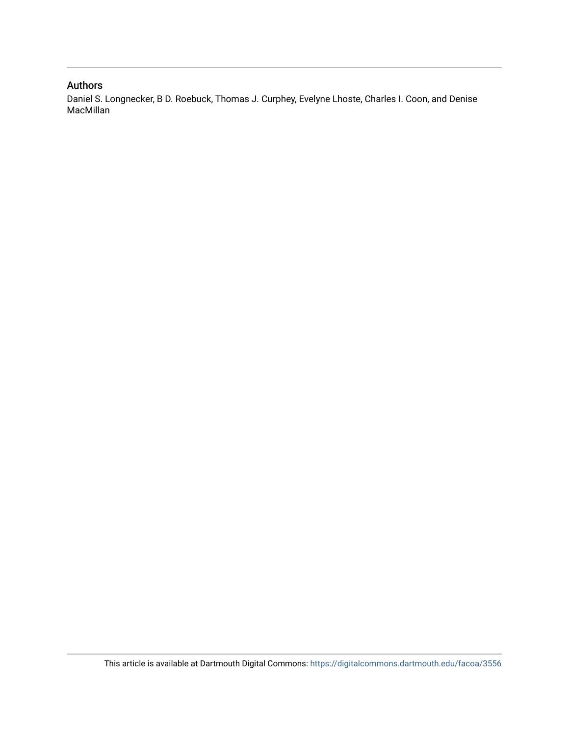#### Authors

Daniel S. Longnecker, B D. Roebuck, Thomas J. Curphey, Evelyne Lhoste, Charles I. Coon, and Denise MacMillan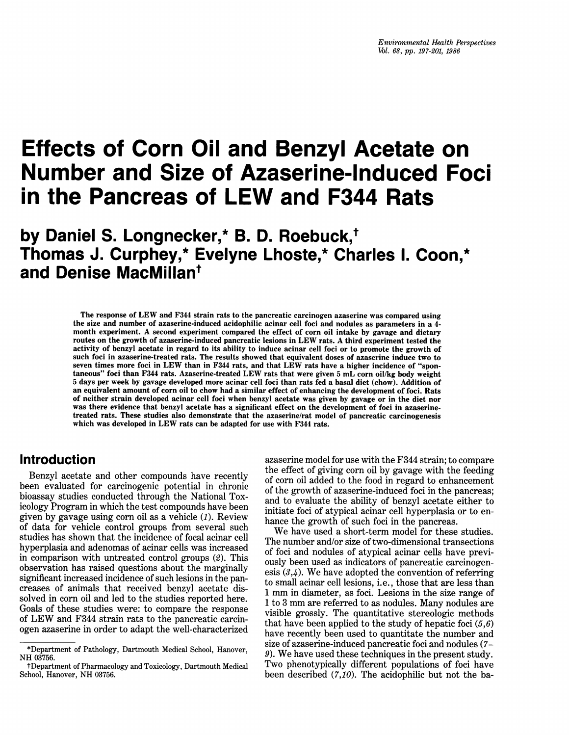# Effects of Corn Oil and Benzyl Acetate on Number and Size of Azaserine-Induced Foci in the Pancreas of LEW and F344 Rats

# by Daniel S. Longnecker,\* B. D. Roebuck,<sup>†</sup> Thomas J. Curphey,\* Evelyne Lhoste,\* Charles 1. Coon,\* and Denise MacMillan<sup>t</sup>

The response of LEW and F344 strain rats to the pancreatic carcinogen azaserine was compared using the size and number of azaserine-induced acidophilic acinar cell foci and nodules as parameters in a 4 month experiment. A second experiment compared the effect of corn oil intake by gavage and dietary routes on the growth of azaserine-induced pancreatic lesions in LEW rats. A third experiment tested the activity of benzyl acetate in regard to its ability to induce acinar cell foci or to promote the growth of such foci in azaserine-treated rats. The results showed that equivalent doses of azaserine induce two to seven times more foci in LEW than in F344 rats, and that LEW rats have <sup>a</sup> higher incidence of "spontaneous" foci than F344 rats. Azaserine-treated LEW rats that were given <sup>5</sup> mL corn oil/kg body weight 5 days per week by gavage developed more acinar cell foci than rats fed a basal diet (chow). Addition of an equivalent amount of corn oil to chow had a similar effect of enhancing the development of foci. Rats of neither strain developed acinar cell foci when benzyl acetate was given by gavage or in the diet nor was there evidence that benzyl acetate has a significant effect on the development of foci in azaserinetreated rats. These studies also demonstrate that the azaserine/rat model of pancreatic carcinogenesis which was developed in LEW rats can be adapted for use with F344 rats.

## Introduction

Benzyl acetate and other compounds have recently been evaluated for carcinogenic potential in chronic bioassay studies conducted through the National Toxicology Program in which the test compounds have been given by gavage using corn oil as a vehicle (1). Review of data for vehicle control groups from several such studies has shown that the incidence of focal acinar cell hyperplasia and adenomas of acinar cells was increased in comparison with untreated control groups (2). This observation has raised questions about the marginally significant increased incidence of such lesions in the pancreases of animals that received benzyl acetate dissolved in corn oil and led to the studies reported here. Goals of these studies were: to compare the response of LEW and F344 strain rats to the pancreatic carcinogen azaserine in order to adapt the well-characterized

azaserine model for use with the F344 strain; to compare the effect of giving corn oil by gavage with the feeding of corn oil added to the food in regard to enhancement of the growth of azaserine-induced foci in the pancreas; and to evaluate the ability of benzyl acetate either to initiate foci of atypical acinar cell hyperplasia or to enhance the growth of such foci in the pancreas.

We have used <sup>a</sup> short-term model for these studies. The number and/or size of two-dimensional transections of foci and nodules of atypical acinar cells have previously been used as indicators of pancreatic carcinogenesis  $(3,4)$ . We have adopted the convention of referring to small acinar cell lesions, i.e., those that are less than <sup>1</sup> mm in diameter, as foci. Lesions in the size range of <sup>1</sup> to <sup>3</sup> mm are referred to as nodules. Many nodules are visible grossly. The quantitative stereologic methods that have been applied to the study of hepatic foci  $(5,6)$ have recently been used to quantitate the number and size of azaserine-induced pancreatic foci and nodules (7- 9). We have used these techniques in the present study. Two phenotypically different populations of foci have been described  $(7,10)$ . The acidophilic but not the ba-

<sup>\*</sup>Department of Pathology, Dartmouth Medical School, Hanover, NH 03756.

tDepartment of Pharmacology and Toxicology, Dartmouth Medical School, Hanover, NH 03756.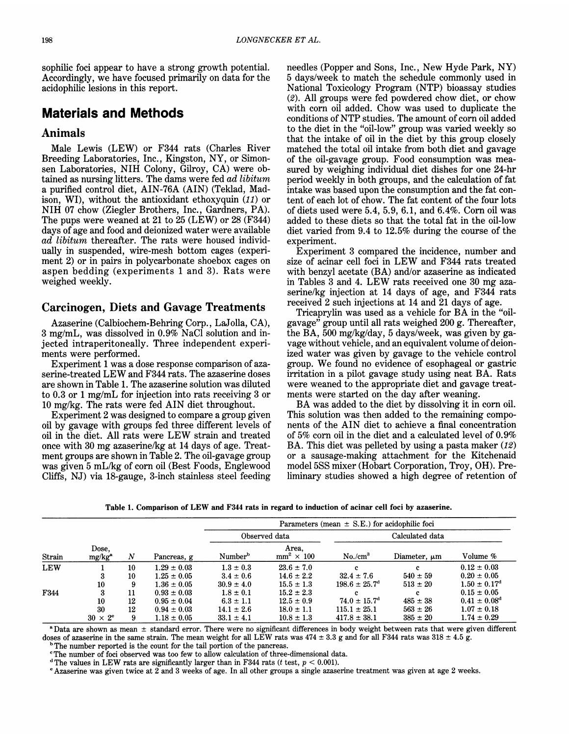sophilic foci appear to have a strong growth potential. Accordingly, we have focused primarily on data for the acidophilic lesions in this report.

# Materials and Methods

#### Animals

Male Lewis (LEW) or F344 rats (Charles River Breeding Laboratories, Inc., Kingston, NY, or Simonsen Laboratories, NIH Colony, Gilroy, CA) were obtained as nursing litters. The dams were fed *ad libitum* a purified control diet, AIN-76A (AIN) (Teklad, Madison, WI), without the antioxidant ethoxyquin (11) or NIH 07 chow (Ziegler Brothers, Inc., Gardners, PA). The pups were weaned at 21 to 25 (LEW) or 28 (F344) days of age and food and deionized water were available  $a\ddot{a}$  libitum thereafter. The rats were housed individually in suspended, wire-mesh bottom cages (experiment 2) or in pairs in polycarbonate shoebox cages on aspen bedding (experiments <sup>1</sup> and 3). Rats were weighed weekly.

#### Carcinogen, Diets and Gavage Treatments

Azaserine (Calbiochem-Behring Corp., LaJolla, CA), 3 mg/mL, was dissolved in 0.9% NaCl solution and injected intraperitoneally. Three independent experiments were performed.

Experiment <sup>1</sup> was a dose response comparison of azaserine-treated LEW and F344 rats. The azaserine doses are shown in Table 1. The azaserine solution was diluted to 0.3 or <sup>1</sup> mg/mL for injection into rats receiving 3 or <sup>10</sup> mg/kg. The rats were fed AIN diet throughout.

Experiment 2 was designed to compare a group given oil by gavage with groups fed three different levels of oil in the diet. All rats were LEW strain and treated once with <sup>30</sup> mg azaserine/kg at <sup>14</sup> days of age. Treatment groups are shown in Table 2. The oil-gavage group was given 5 mL/kg of corn oil (Best Foods, Englewood Cliffs, NJ) via 18-gauge, 3-inch stainless steel feeding

needles (Popper and Sons, Inc., New Hyde Park, NY) 5 days/week to match the schedule commonly used in National Toxicology Program (NTP) bioassay studies (2). All groups were fed powdered chow diet, or chow with corn oil added. Chow was used to duplicate the conditions of NTP studies. The amount of corn oil added to the diet in the "oil-low" group was varied weekly so that the intake of oil in the diet by this group closely matched the total oil intake from both diet and gavage of the oil-gavage group. Food consumption was measured by weighing individual diet dishes for one 24-hr period weekly in both groups, and the calculation of fat intake was based upon the consumption and the fat content of each lot of chow. The fat content of the four lots of diets used were 5.4, 5.9, 6.1, and 6.4%. Corn oil was added to these diets so that the total fat in the oil-low diet varied from 9.4 to 12.5% during the course of the experiment.

Experiment 3 compared the incidence, number and size of acinar cell foci in LEW and F344 rats treated with benzyl acetate (BA) and/or azaserine as indicated in Tables <sup>3</sup> and 4. LEW rats received one <sup>30</sup> mg azaserine/kg injection at 14 days of age, and F344 rats received 2 such injections at 14 and 21 days of age.

Tricaprylin was used as <sup>a</sup> vehicle for BA in the "oilgavage" group until all rats weighed 200 g. Thereafter, the BA, 500 mg/kg/day, 5 days/week, was given by gavage without vehicle, and an equivalent volume of deionized water was given by gavage to the vehicle control group. We found no evidence of esophageal or gastric irritation in a pilot gavage study using neat BA. Rats were weaned to the appropriate diet and gavage treatments were started on the day after weaning.

BA was added to the diet by dissolving it in corn oil. This solution was then added to the remaining components of the AIN diet to achieve a final concentration of 5% corn oil in the diet and a calculated level of 0.9% BA. This diet was pelleted by using a pasta maker  $(12)$ or a sausage-making attachment for the Kitchenaid model 5SS mixer (Hobart Corporation, Troy, OH). Preliminary studies showed a high degree of retention of

Table 1. Comparison of LEW and F344 rats in regard to induction of acinar cell foci by azaserine.

|            |                             |    |                 | Parameters (mean $\pm$ S.E.) for acidophilic foci |                            |                               |                   |                         |  |  |
|------------|-----------------------------|----|-----------------|---------------------------------------------------|----------------------------|-------------------------------|-------------------|-------------------------|--|--|
|            |                             |    |                 |                                                   | Observed data              | Calculated data               |                   |                         |  |  |
| Strain     | Dose.<br>mg/kg <sup>a</sup> | N  | Pancreas, g     | Number <sup>b</sup>                               | Area,<br>$mm^2 \times 100$ | $No./cm^3$                    | Diameter, $\mu$ m | Volume %                |  |  |
| <b>LEW</b> |                             | 10 | $1.29 \pm 0.03$ | $1.3 \pm 0.3$                                     | $23.6 \pm 7.0$             | e.                            | c                 | $0.12 \pm 0.03$         |  |  |
|            |                             | 10 | $1.25 \pm 0.05$ | $3.4 \pm 0.6$                                     | $14.6 \pm 2.2$             | $32.4 \pm 7.6$                | $540 \pm 59$      | $0.20 \pm 0.05$         |  |  |
|            | 10                          | 9  | $1.36 \pm 0.05$ | $30.9 \pm 4.0$                                    | $15.5 \pm 1.3$             | $198.6 \pm 25.7$ <sup>d</sup> | $513 \pm 20$      | $1.50 \pm 0.17^{\rm d}$ |  |  |
| F344       | 3                           | 11 | $0.93 \pm 0.03$ | $1.8 \pm 0.1$                                     | $15.2 \pm 2.3$             | c.                            |                   | $0.15 \pm 0.05$         |  |  |
|            | 10                          | 12 | $0.95 \pm 0.04$ | $6.3 \pm 1.1$                                     | $12.5 \pm 0.9$             | $74.0 \pm 15.7$ <sup>d</sup>  | $485 \pm 38$      | $0.41 \pm 0.08^{\rm d}$ |  |  |
|            | 30                          | 12 | $0.94 \pm 0.03$ | $14.1 \pm 2.6$                                    | $18.0 \pm 1.1$             | $115.1 \pm 25.1$              | $563 \pm 26$      | $1.07 \pm 0.18$         |  |  |
|            | $30 \times 2^e$             | 9  | $1.18 \pm 0.05$ | $33.1 \pm 4.1$                                    | $10.8 \pm 1.3$             | $417.8 \pm 38.1$              | $385 \pm 20$      | $1.74 \pm 0.29$         |  |  |

<sup>a</sup> Data are shown as mean <sup>±</sup> standard error. There were no significant differences in body weight between rats that were given different doses of azaserine in the same strain. The mean weight for all LEW rats was  $474 \pm 3.3$  g and for all F344 rats was  $318 \pm 4.5$  g.

<sup>b</sup> The number reported is the count for the tail portion of the pancreas.

'The number of foci observed was too few to allow calculation of three-dimensional data.

<sup>d</sup> The values in LEW rats are significantly larger than in F344 rats (t test,  $p < 0.001$ ).

<sup>e</sup> Azaserine was given twice at 2 and 3 weeks of age. In all other groups a single azaserine treatment was given at age 2 weeks.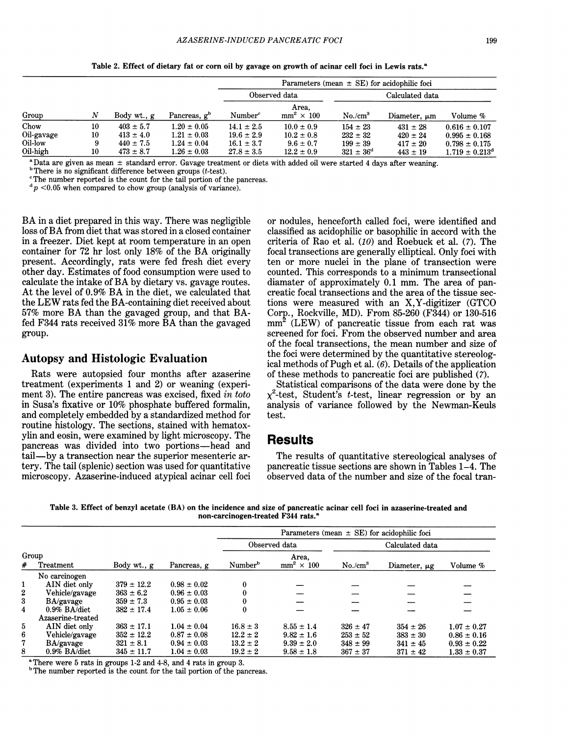|            |    |               |                          | Parameters (mean $\pm$ SE) for acidophilic foci |                            |                      |                   |                           |  |
|------------|----|---------------|--------------------------|-------------------------------------------------|----------------------------|----------------------|-------------------|---------------------------|--|
|            |    |               | Observed data            |                                                 | Calculated data            |                      |                   |                           |  |
| Group      | N  | Body wt., g   | Pancreas, g <sup>b</sup> | Number <sup>c</sup>                             | Area.<br>$mm^2 \times 100$ | $No./cm^3$           | Diameter, $\mu$ m | Volume %                  |  |
| Chow       | 10 | $403 \pm 5.7$ | $1.20 \pm 0.05$          | $14.1 \pm 2.5$                                  | $10.0 \pm 0.9$             | $154 \pm 23$         | $431 \pm 28$      | $0.616 \pm 0.107$         |  |
| Oil-gavage | 10 | $413 \pm 4.0$ | $1.21 \pm 0.03$          | $19.6 \pm 2.9$                                  | $10.2 \pm 0.8$             | $232 \pm 32$         | $420 \pm 24$      | $0.995 \pm 0.168$         |  |
| Oil-low    |    | $440 \pm 7.5$ | $1.24 \pm 0.04$          | $16.1 \pm 3.7$                                  | $9.6 \pm 0.7$              | $199 \pm 39$         | $417 \pm 20$      | $0.798 \pm 0.175$         |  |
| Oil-high   | 10 | $473 \pm 8.7$ | $1.26 \pm 0.03$          | $27.8 \pm 3.5$                                  | $12.2 \pm 0.9$             | $321 \pm 36^{\circ}$ | $443 \pm 19$      | $1.719 \pm 0.213^{\circ}$ |  |

Table 2. Effect of dietary fat or corn oil by gavage on growth of acinar cell foci in Lewis rats.<sup>a</sup>

 $a$  Data are given as mean  $\pm$  standard error. Gavage treatment or diets with added oil were started 4 days after weaning.

 $b$ There is no significant difference between groups (*t*-test).

'The number reported is the count for the tail portion of the pancreas.

 $d p$  <0.05 when compared to chow group (analysis of variance).

BA in <sup>a</sup> diet prepared in this way. There was negligible loss of BA from diet that was stored in <sup>a</sup> closed container in a freezer. Diet kept at room temperature in an open container for <sup>72</sup> hr lost only 18% of the BA originally present. Accordingly, rats were fed fresh diet every other day. Estimates of food consumption were used to calculate the intake of BA by dietary vs. gavage routes. At the level of 0.9% BA in the diet, we calculated that the LEW rats fed the BA-containing diet received about 57% more BA than the gavaged group, and that BAfed F344 rats received 31% more BA than the gavaged group.

#### Autopsy and Histologic Evaluation

Rats were autopsied four months after azaserine treatment (experiments <sup>1</sup> and 2) or weaning (experiment 3). The entire pancreas was excised, fixed in toto in Susa's fixative or 10% phosphate buffered formalin, and completely embedded by a standardized method for routine histology. The sections, stained with hematoxylin and eosin, were examined by light microscopy. The pancreas was divided into two portions-head and tail—by a transection near the superior mesenteric artery. The tail (splenic) section was used for quantitative microscopy. Azaserine-induced atypical acinar cell foci

or nodules, henceforth called foci, were identified and classified as acidophilic or basophilic in accord with the criteria of Rao et al.  $(10)$  and Roebuck et al.  $(7)$ . The focal transections are generally elliptical. Only foci with ten or more nuclei in the plane of transection were counted. This corresponds to a minimum transectional diamater of approximately 0.1 mm. The area of pancreatic focal transections and the area of the tissue sections were measured with an X,Y-digitizer (GTCO Corp., Rockville, MD). From 85-260 (F344) or 130-516  $mm<sup>2</sup>$  (LEW) of pancreatic tissue from each rat was screened for foci. From the observed number and area of the focal transections, the mean number and size of the foci were determined by the quantitative stereological methods of Pugh et al.  $(6)$ . Details of the application of these methods to pancreatic foci are published (7).

Statistical comparisons of the data were done by the  $x^2$ -test, Student's *t*-test, linear regression or by an analysis of variance followed by the Newman-Keuls test.

## **Results**

The results of quantitative stereological analyses of pancreatic tissue sections are shown in Tables 1-4. The observed data of the number and size of the focal tran-

Table 3. Effect of benzyl acetate (BA) on the incidence and size of pancreatic acinar cell foci in azaserine-treated and non-carcinogen-treated F344 rats.<sup>a</sup>

|                         |                   |                |                 | Parameters (mean $\pm$ SE) for acidophilic foci |                            |                 |                   |                 |  |  |
|-------------------------|-------------------|----------------|-----------------|-------------------------------------------------|----------------------------|-----------------|-------------------|-----------------|--|--|
|                         |                   |                | Pancreas, g     |                                                 | Observed data              | Calculated data |                   |                 |  |  |
| Group<br>Treatment<br># |                   | Body wt., g    |                 | Number <sup>b</sup>                             | Area.<br>$mm^2 \times 100$ | $No./cm^3$      | Diameter, $\mu$ g | Volume %        |  |  |
|                         | No carcinogen     |                |                 |                                                 |                            |                 |                   |                 |  |  |
| 1                       | AIN diet only     | $379 \pm 12.2$ | $0.98 \pm 0.02$ | 0                                               |                            |                 |                   |                 |  |  |
| 2                       | Vehicle/gavage    | $363 \pm 6.2$  | $0.96 \pm 0.03$ |                                                 |                            |                 |                   |                 |  |  |
| 3                       | BA/gavage         | $359 \pm 7.3$  | $0.95 \pm 0.03$ | 0                                               |                            |                 |                   |                 |  |  |
| $\overline{\bf{4}}$     | $0.9\%$ BA/diet   | $382 \pm 17.4$ | $1.05 \pm 0.06$ | 0                                               |                            |                 |                   |                 |  |  |
|                         | Azaserine-treated |                |                 |                                                 |                            |                 |                   |                 |  |  |
| 5                       | AIN diet only     | $363 \pm 17.1$ | $1.04 \pm 0.04$ | $16.8 \pm 3$                                    | $8.55 \pm 1.4$             | $326 \pm 47$    | $354 \pm 26$      | $1.07 \pm 0.27$ |  |  |
| 6                       | Vehicle/gavage    | $352 \pm 12.2$ | $0.87 \pm 0.08$ | $12.2 \pm 2$                                    | $9.82 \pm 1.6$             | $253 \pm 52$    | $383 \pm 30$      | $0.86 \pm 0.16$ |  |  |
| 7                       | BA/gavage         | $321 \pm 8.1$  | $0.94 \pm 0.03$ | $13.2 \pm 2$                                    | $9.39 \pm 2.0$             | $348 \pm 99$    | $341 \pm 45$      | $0.93 \pm 0.22$ |  |  |
| 8                       | 0.9% BA/diet      | $345 \pm 11.7$ | $1.04 \pm 0.03$ | $19.2 \pm 2$                                    | $9.58 \pm 1.8$             | $367 \pm 37$    | $371 \pm 42$      | $1.33 \pm 0.37$ |  |  |

aThere were 5 rats in groups 1-2 and 4-8, and 4 rats in group 3.

<sup>b</sup> The number reported is the count for the tail portion of the pancreas.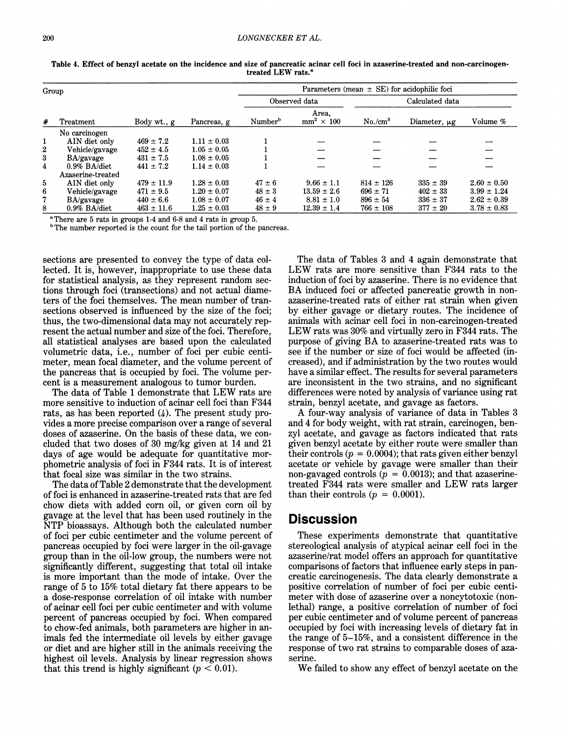|              | Group             |                |                 | Parameters (mean $\pm$ SE) for acidophilic foci |                            |                     |              |                 |  |
|--------------|-------------------|----------------|-----------------|-------------------------------------------------|----------------------------|---------------------|--------------|-----------------|--|
|              |                   |                |                 |                                                 | Observed data              | Calculated data     |              |                 |  |
| #            | Treatment         | Body wt., g    | Pancreas, g     | Number <sup>b</sup>                             | Area.<br>$mm^2 \times 100$ | No./cm <sup>3</sup> | Diameter, µg | Volume %        |  |
|              | No carcinogen     |                |                 |                                                 |                            |                     |              |                 |  |
| 1            | AIN diet only     | $469 \pm 7.2$  | $1.11 \pm 0.03$ |                                                 |                            |                     |              |                 |  |
| $\mathbf{2}$ | Vehicle/gavage    | $452 \pm 4.5$  | $1.05 \pm 0.05$ |                                                 |                            |                     |              |                 |  |
| 3            | BA/gavage         | $431 \pm 7.5$  | $1.08 \pm 0.05$ |                                                 |                            |                     |              |                 |  |
| 4            | $0.9\%$ BA/diet   | $441 \pm 7.2$  | $1.14 \pm 0.03$ |                                                 |                            |                     |              |                 |  |
|              | Azaserine-treated |                |                 |                                                 |                            |                     |              |                 |  |
| 5            | AIN diet only     | $479 \pm 11.9$ | $1.28 \pm 0.03$ | $47 \pm 6$                                      | $9.66 \pm 1.1$             | $814 \pm 126$       | $335 \pm 39$ | $2.60 \pm 0.50$ |  |
| 6            | Vehicle/gavage    | $471 \pm 9.5$  | $1.20 \pm 0.07$ | $48 \pm 3$                                      | $13.59 \pm 2.6$            | $696 \pm 71$        | $402 \pm 33$ | $3.99 \pm 1.24$ |  |
| 7            | BA/gavage         | $440 \pm 6.6$  | $1.08 \pm 0.07$ | $46 \pm 4$                                      | $8.81 \pm 1.0$             | $896 \pm 54$        | $336 \pm 37$ | $2.62 \pm 0.39$ |  |
| 8            | $0.9\%$ BA/diet   | $463 \pm 11.6$ | $1.25 \pm 0.03$ | $48 \pm 9$                                      | $12.39 \pm 1.4$            | $766 \pm 108$       | $377 \pm 20$ | $3.78 \pm 0.83$ |  |

Table 4. Effect of benzyl acetate on the incidence and size of pancreatic acinar cell foci in azaserine-treated and non-carcinogentreated LEW rats.<sup>a</sup>

<sup>a</sup> There are 5 rats in groups 1-4 and 6-8 and 4 rats in group 5.

<sup>b</sup>The number reported is the count for the tail portion of the pancreas.

sections are presented to convey the type of data collected. It is, however, inappropriate to use these data for statistical analysis, as they represent random sections through foci (transections) and not actual diameters of the foci themselves. The mean number of transections observed is influenced by the size of the foci; thus, the two-dimensional data may not accurately represent the actual number and size of the foci. Therefore, all statistical analyses are based upon the calculated volumetric data, i.e., number of foci per cubic centimeter, mean focal diameter, and the volume percent of the pancreas that is occupied by foci. The volume percent is a measurement analogous to tumor burden.

The data of Table <sup>1</sup> demonstrate that LEW rats are more sensitive to induction of acinar cell foci than F344 rats, as has been reported (4). The present study provides a more precise comparison over a range of several doses of azaserine. On the basis of these data, we concluded that two doses of 30 mg/kg given at 14 and 21 days of age would be adequate for quantitative morphometric analysis of foci in F344 rats. It is of interest that focal size was similar in the two strains.

The data of Table 2 demonstrate that the development of foci is enhanced in azaserine-treated rats that are fed chow diets with added corn oil, or given corn oil by gavage at the level that has been used routinely in the NTP bioassays. Although both the calculated number of foci per cubic centimeter and the volume percent of pancreas occupied by foci were larger in the oil-gavage group than in the oil-low group, the numbers were not significantly different, suggesting that total oil intake is more important than the mode of intake. Over the range of 5 to 15% total dietary fat there appears to be a dose-response correlation of oil intake with number of acinar cell foci per cubic centimeter and with volume percent of pancreas occupied by foci. When compared to chow-fed animals, both parameters are higher in animals fed the intermediate oil levels by either gavage or diet and are higher still in the animals receiving the highest oil levels. Analysis by linear regression shows that this trend is highly significant ( $p < 0.01$ ).

The data of Tables 3 and 4 again demonstrate that LEW rats are more sensitive than F344 rats to the induction of foci by azaserine. There is no evidence that BA induced foci or affected pancreatic growth in nonazaserine-treated rats of either rat strain when given by either gavage or dietary routes. The incidence of animals with acinar cell foci in non-carcinogen-treated LEW rats was 30% and virtually zero in F344 rats. The purpose of giving BA to azaserine-treated rats was to see if the number or size of foci would be affected (increased), and if administration by the two routes would have a similar effect. The results for several parameters are inconsistent in the two strains, and no significant differences were noted by analysis of variance using rat strain, benzyl acetate, and gavage as factors.

A four-way analysis of variance of data in Tables <sup>3</sup> and 4 for body weight, with rat strain, carcinogen, benzyl acetate, and gavage as factors indicated that rats given benzyl acetate by either route were smaller than their controls ( $p = 0.0004$ ); that rats given either benzyl acetate or vehicle by gavage were smaller than their non-gavaged controls ( $p = 0.0013$ ); and that azaserinetreated F344 rats were smaller and LEW rats larger than their controls  $(p = 0.0001)$ .

## **Discussion**

These experiments demonstrate that quantitative stereological analysis of atypical acinar cell foci in the azaserine/rat model offers an approach for quantitative comparisons of factors that influence early steps in pancreatic carcinogenesis. The data clearly demonstrate a positive correlation of number of foci per cubic centimeter with dose of azaserine over a noncytotoxic (nonlethal) range, a positive correlation of number of foci per cubic centimeter and of volume percent of pancreas occupied by foci with increasing levels of dietary fat in the range of 5-15%, and a consistent difference in the response of two rat strains to comparable doses of azaserine.

We failed to show any effect of benzyl acetate on the